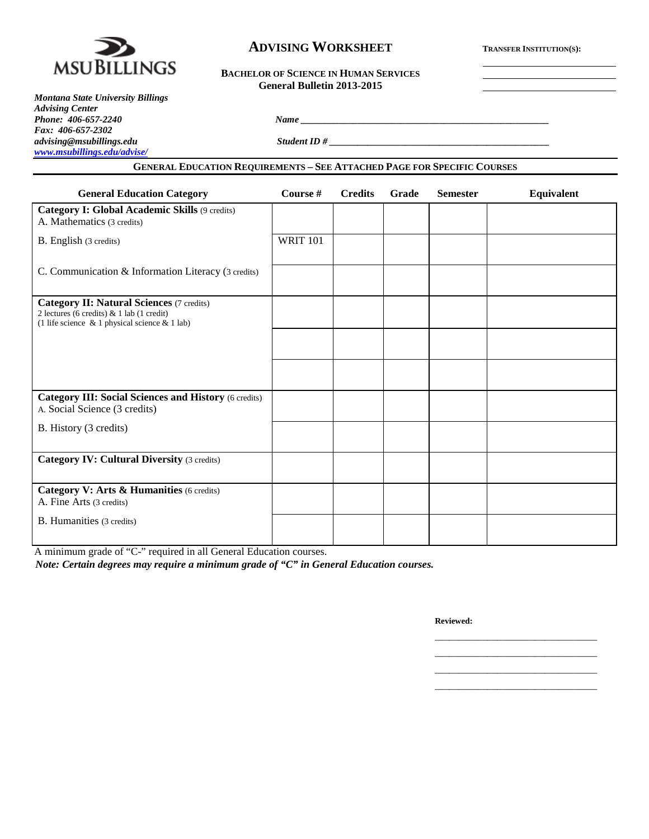

# **ADVISING WORKSHEET TRANSFER INSTITUTION(S):**

<u> 1980 - Johann Barnett, fransk politiker (</u>

| <b>BACHELOR OF SCIENCE IN HUMAN SERVICES</b> |
|----------------------------------------------|
| General Bulletin 2013-2015                   |

| <b>Montana State University Billings</b> |  |
|------------------------------------------|--|
| <b>Advising Center</b>                   |  |
| Phone: 406-657-2240                      |  |
| Fax: 406-657-2302                        |  |
| advising@msubillings.edu                 |  |
| www.msubillings.edu/advise/              |  |

*advising@msubillings.edu Student ID # \_\_\_\_\_\_\_\_\_\_\_\_\_\_\_\_\_\_\_\_\_\_\_\_\_\_\_\_\_\_\_\_\_\_\_\_\_\_\_\_\_\_\_\_\_\_*

# **GENERAL EDUCATION REQUIREMENTS – SEE ATTACHED PAGE FOR SPECIFIC COURSES**

*Phone: 406-657-2240 Name \_\_\_\_\_\_\_\_\_\_\_\_\_\_\_\_\_\_\_\_\_\_\_\_\_\_\_\_\_\_\_\_\_\_\_\_\_\_\_\_\_\_\_\_\_\_\_\_\_\_\_\_*

| <b>General Education Category</b>                                                                                                                    | Course #        | <b>Credits</b> | Grade | <b>Semester</b> | <b>Equivalent</b> |
|------------------------------------------------------------------------------------------------------------------------------------------------------|-----------------|----------------|-------|-----------------|-------------------|
| <b>Category I: Global Academic Skills (9 credits)</b><br>A. Mathematics (3 credits)                                                                  |                 |                |       |                 |                   |
| B. English (3 credits)                                                                                                                               | <b>WRIT 101</b> |                |       |                 |                   |
| C. Communication & Information Literacy (3 credits)                                                                                                  |                 |                |       |                 |                   |
| <b>Category II: Natural Sciences (7 credits)</b><br>2 lectures (6 credits) & 1 lab (1 credit)<br>(1 life science $\&$ 1 physical science $\&$ 1 lab) |                 |                |       |                 |                   |
|                                                                                                                                                      |                 |                |       |                 |                   |
|                                                                                                                                                      |                 |                |       |                 |                   |
| <b>Category III: Social Sciences and History (6 credits)</b><br>A. Social Science (3 credits)                                                        |                 |                |       |                 |                   |
| B. History (3 credits)                                                                                                                               |                 |                |       |                 |                   |
| <b>Category IV: Cultural Diversity (3 credits)</b>                                                                                                   |                 |                |       |                 |                   |
| Category V: Arts & Humanities (6 credits)<br>A. Fine Arts (3 credits)                                                                                |                 |                |       |                 |                   |
| B. Humanities (3 credits)                                                                                                                            |                 |                |       |                 |                   |

A minimum grade of "C-" required in all General Education courses.

*Note: Certain degrees may require a minimum grade of "C" in General Education courses.*

**Reviewed:**

\_\_\_\_\_\_\_\_\_\_\_\_\_\_\_\_\_\_\_\_\_\_\_\_\_\_\_\_\_\_\_\_\_\_ \_\_\_\_\_\_\_\_\_\_\_\_\_\_\_\_\_\_\_\_\_\_\_\_\_\_\_\_\_\_\_\_\_\_ \_\_\_\_\_\_\_\_\_\_\_\_\_\_\_\_\_\_\_\_\_\_\_\_\_\_\_\_\_\_\_\_\_\_ \_\_\_\_\_\_\_\_\_\_\_\_\_\_\_\_\_\_\_\_\_\_\_\_\_\_\_\_\_\_\_\_\_\_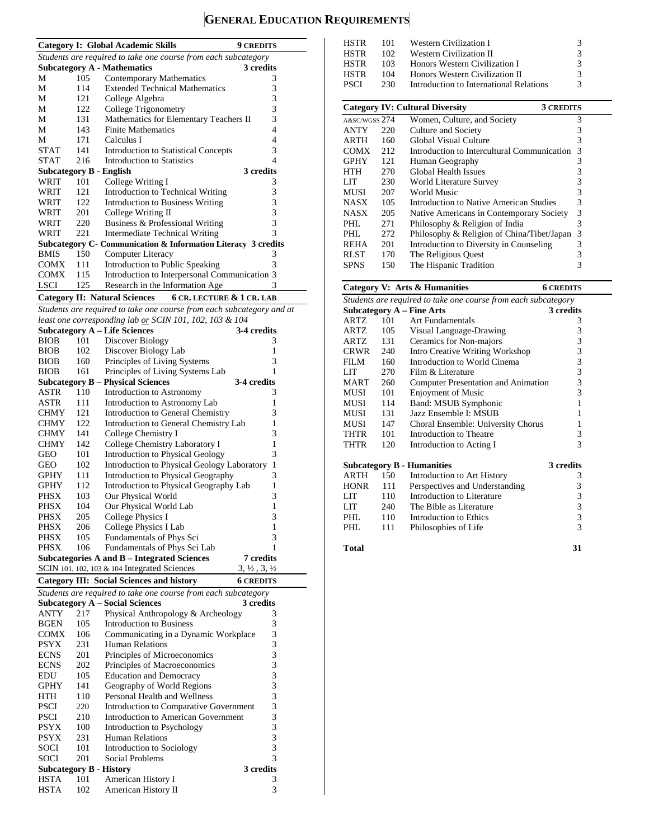# **GENERAL EDUCATION REQUIREMENTS**

|                                |            | <b>Category I: Global Academic Skills</b>                                    | <b>9 CREDITS</b>                           |
|--------------------------------|------------|------------------------------------------------------------------------------|--------------------------------------------|
|                                |            | Students are required to take one course from each subcategory               |                                            |
|                                |            | <b>Subcategory A - Mathematics</b>                                           | 3 credits                                  |
| М                              | 105        | Contemporary Mathematics                                                     | 3                                          |
| М                              | 114        | <b>Extended Technical Mathematics</b>                                        | 3                                          |
| М                              | 121        | College Algebra                                                              | 3                                          |
| М                              | 122        | College Trigonometry                                                         | 3                                          |
| М                              | 131        | Mathematics for Elementary Teachers II                                       | 3                                          |
| М                              | 143        | <b>Finite Mathematics</b>                                                    | 4                                          |
| М                              | 171        | Calculus I                                                                   | 4                                          |
| <b>STAT</b>                    | 141        | <b>Introduction to Statistical Concepts</b>                                  | 3                                          |
| <b>STAT</b>                    | 216        | <b>Introduction to Statistics</b>                                            | $\overline{\mathcal{L}}$                   |
| <b>Subcategory B - English</b> |            |                                                                              | 3 credits                                  |
| WRIT                           | 101        | College Writing I                                                            | 3                                          |
| WRIT                           | 121        | Introduction to Technical Writing                                            | 3                                          |
| WRIT                           | 122        | Introduction to Business Writing                                             | 3                                          |
| WRIT                           | 201        | College Writing II                                                           | 3                                          |
| WRIT                           | 220        | Business & Professional Writing                                              | 3                                          |
| WRIT                           | 221        | <b>Intermediate Technical Writing</b>                                        | 3                                          |
|                                |            | Subcategory C- Communication & Information Literacy 3 credits                |                                            |
| <b>BMIS</b>                    | 150        | <b>Computer Literacy</b>                                                     | 3                                          |
| COMX                           | 111        | Introduction to Public Speaking                                              | 3                                          |
| COMX                           | 115        | Introduction to Interpersonal Communication 3                                |                                            |
| <b>LSCI</b>                    | 125        | Research in the Information Age                                              | 3                                          |
|                                |            | <b>Category II: Natural Sciences</b><br><b>6 CR. LECTURE &amp; 1 CR. LAB</b> |                                            |
|                                |            | Students are required to take one course from each subcategory and at        |                                            |
|                                |            | least one corresponding lab or SCIN 101, 102, 103 & 104                      |                                            |
|                                |            | <b>Subcategory A - Life Sciences</b>                                         | 3-4 credits                                |
| <b>BIOB</b>                    | 101        | Discover Biology                                                             | 3                                          |
| <b>BIOB</b>                    | 102        | Discover Biology Lab                                                         | 1                                          |
| <b>BIOB</b>                    | 160        | Principles of Living Systems                                                 | 3                                          |
| <b>BIOB</b>                    | 161        | Principles of Living Systems Lab                                             | 1                                          |
|                                |            | <b>Subcategory B - Physical Sciences</b>                                     | 3-4 credits                                |
| ASTR                           | 110        | Introduction to Astronomy                                                    | 3                                          |
| ASTR                           | 111        | Introduction to Astronomy Lab                                                | 1                                          |
|                                | 121        |                                                                              | 3                                          |
| <b>CHMY</b>                    |            | Introduction to General Chemistry                                            |                                            |
| CHMY                           | 122<br>141 | Introduction to General Chemistry Lab                                        | 1                                          |
| CHMY                           | 142        | College Chemistry I                                                          | 3<br>1                                     |
| <b>CHMY</b>                    |            | College Chemistry Laboratory I                                               | 3                                          |
| GEO                            | 101        | Introduction to Physical Geology                                             |                                            |
| GEO                            | 102        | Introduction to Physical Geology Laboratory                                  | 1                                          |
| GPHY                           | 111        | Introduction to Physical Geography                                           | 3                                          |
| GPHY                           | 112        | Introduction to Physical Geography Lab                                       | 1                                          |
| PHSX                           | 103        | Our Physical World                                                           | 3                                          |
| PHSX                           | 104        | Our Physical World Lab                                                       | 1                                          |
| PHSX                           | 205        | College Physics I                                                            | 3                                          |
| PHSX                           | 206        | College Physics I Lab                                                        | 1                                          |
| PHSX                           | 105        | Fundamentals of Phys Sci                                                     | 3                                          |
| PHSX                           | 106        | Fundamentals of Phys Sci Lab                                                 | 1                                          |
|                                |            | <b>Subcategories A and B - Integrated Sciences</b>                           | 7 credits                                  |
|                                |            | SCIN 101, 102, 103 & 104 Integrated Sciences                                 | $3, \frac{1}{2}, 3, \frac{1}{2}$           |
|                                |            | <b>Category III: Social Sciences and history</b>                             | <b>6 CREDITS</b>                           |
|                                |            | Students are required to take one course from each subcategory               |                                            |
|                                |            | <b>Subcategory A – Social Sciences</b>                                       | 3 credits                                  |
| ANTY                           | 217        | Physical Anthropology & Archeology                                           | 3                                          |
| <b>BGEN</b>                    | 105        | <b>Introduction to Business</b>                                              | 3                                          |
| <b>COMX</b>                    | 106        | Communicating in a Dynamic Workplace                                         | 3                                          |
| PSYX                           | 231        | <b>Human Relations</b>                                                       |                                            |
| <b>ECNS</b>                    | 201        | Principles of Microeconomics                                                 | $\begin{array}{c} 3 \\ 3 \\ 3 \end{array}$ |
| <b>ECNS</b>                    | 202        | Principles of Macroeconomics                                                 |                                            |
| EDU                            | 105        | <b>Education and Democracy</b>                                               |                                            |
| GPHY                           | 141        | Geography of World Regions                                                   |                                            |
| HTH                            | 110        | Personal Health and Wellness                                                 | $\frac{3}{3}$                              |
| <b>PSCI</b>                    | 220        | Introduction to Comparative Government                                       | $\overline{\mathbf{3}}$                    |
| PSCI                           | 210        | Introduction to American Government                                          |                                            |
| PSYX                           | 100        | Introduction to Psychology                                                   |                                            |
|                                | 231        | Human Relations                                                              | $\begin{array}{c} 3 \\ 3 \\ 3 \end{array}$ |
| PSYX                           |            |                                                                              | 3                                          |
| SOCI<br>SOCI                   | 101<br>201 | Introduction to Sociology                                                    | 3                                          |
| <b>Subcategory B - History</b> |            | Social Problems                                                              | 3 credits                                  |
| <b>HSTA</b>                    |            | American History I                                                           | 3                                          |
|                                | 101        |                                                                              |                                            |

HSTA 101 American History I 3<br>HSTA 102 American History II 3 American History II

| HSTR | 101  | Western Civilization I                  | 3             |
|------|------|-----------------------------------------|---------------|
|      | 102. |                                         | 3             |
| HSTR |      | Western Civilization II                 |               |
| HSTR | 103  | Honors Western Civilization I           | 3             |
| HSTR | 104  | Honors Western Civilization II          | $\mathcal{R}$ |
| PSCI | 230  | Introduction to International Relations | $\mathcal{R}$ |
|      |      |                                         |               |

|               |     | <b>Category IV: Cultural Diversity</b>      | <b>3 CREDITS</b> |
|---------------|-----|---------------------------------------------|------------------|
| A&SC/WGSS 274 |     | Women, Culture, and Society                 | 3                |
| <b>ANTY</b>   | 220 | Culture and Society                         | 3                |
| ARTH          | 160 | Global Visual Culture                       | 3                |
| <b>COMX</b>   | 212 | Introduction to Intercultural Communication | 3                |
| <b>GPHY</b>   | 121 | Human Geography                             | 3                |
| <b>HTH</b>    | 270 | Global Health Issues                        | 3                |
| LIT           | 230 | World Literature Survey                     | 3                |
| <b>MUSI</b>   | 207 | World Music                                 | 3                |
| <b>NASX</b>   | 105 | Introduction to Native American Studies     | 3                |
| <b>NASX</b>   | 205 | Native Americans in Contemporary Society    | 3                |
| PHL           | 271 | Philosophy & Religion of India              | 3                |
| PHL           | 272 | Philosophy & Religion of China/Tibet/Japan  | 3                |
| <b>REHA</b>   | 201 | Introduction to Diversity in Counseling     | 3                |
| <b>RLST</b>   | 170 | The Religious Quest                         | 3                |
| <b>SPNS</b>   | 150 | The Hispanic Tradition                      |                  |

### **Category V: Arts & Humanities 6 CREDITS** *Students are required to take one course from each subcategory* **Subcategory A – Fine Arts 3 credits** ARTZ 101 Art Fundamentals 3<br>ARTZ 105 Visual Language-Drawing 3 Visual Language-Drawing ARTZ 131 Ceramics for Non-majors 3 CRWR 240 Intro Creative Writing Workshop 3<br>FILM 160 Introduction to World Cinema 3 FILM 160 Introduction to World Cinema 3<br>LIT 270 Film & Literature 3 Film & Literature MART 260 Computer Presentation and Animation 3<br>MUSI 101 Enjoyment of Music 3 MUSI 101 Enjoyment of Music 3<br>MUSI 114 Band: MSUB Symphonic 1 MUSI 114 Band: MSUB Symphonic 1<br>MUSI 131 Jazz Ensemble I: MSUB 1 MUSI 131 Jazz Ensemble I: MSUB<br>MUSI 147 Choral Ensemble: Univer MUSI 147 Choral Ensemble: University Chorus 1<br>THTR 101 Introduction to Theatre 3 THTR 101 Introduction to Theatre 3<br>THTR 120 Introduction to Acting I 3 Introduction to Acting I **Subcategory B - Humanities** 3 credits<br>ARTH 150 Introduction to Art History 3 ARTH 150 Introduction to Art History 3 HONR 111 Perspectives and Understanding 3<br>LIT 110 Introduction to Literature 3 LIT 110 Introduction to Literature 3<br>
LIT 240 The Bible as Literature 3 LIT 240 The Bible as Literature 3<br>PHL 110 Introduction to Ethics 3 Introduction to Ethics PHL 111 Philosophies of Life 3 **Total 31**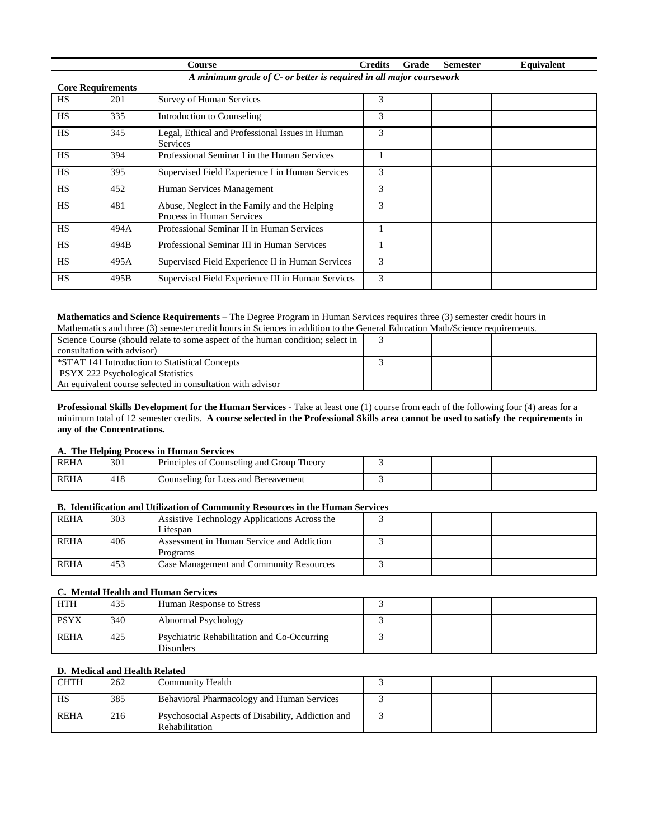|           |                                                                     | Course                                                                    | <b>Credits</b> | Grade | <b>Semester</b> | Equivalent |  |  |  |
|-----------|---------------------------------------------------------------------|---------------------------------------------------------------------------|----------------|-------|-----------------|------------|--|--|--|
|           | A minimum grade of C- or better is required in all major coursework |                                                                           |                |       |                 |            |  |  |  |
|           | <b>Core Requirements</b>                                            |                                                                           |                |       |                 |            |  |  |  |
| <b>HS</b> | 201                                                                 | Survey of Human Services                                                  | 3              |       |                 |            |  |  |  |
| <b>HS</b> | 335                                                                 | Introduction to Counseling                                                | 3              |       |                 |            |  |  |  |
| <b>HS</b> | 345                                                                 | Legal, Ethical and Professional Issues in Human<br><b>Services</b>        | 3              |       |                 |            |  |  |  |
| <b>HS</b> | 394                                                                 | Professional Seminar I in the Human Services                              | 1              |       |                 |            |  |  |  |
| <b>HS</b> | 395                                                                 | Supervised Field Experience I in Human Services                           | 3              |       |                 |            |  |  |  |
| <b>HS</b> | 452                                                                 | Human Services Management                                                 | 3              |       |                 |            |  |  |  |
| <b>HS</b> | 481                                                                 | Abuse, Neglect in the Family and the Helping<br>Process in Human Services | 3              |       |                 |            |  |  |  |
| <b>HS</b> | 494A                                                                | Professional Seminar II in Human Services                                 | 1              |       |                 |            |  |  |  |
| <b>HS</b> | 494B                                                                | Professional Seminar III in Human Services                                | 1              |       |                 |            |  |  |  |
| <b>HS</b> | 495A                                                                | Supervised Field Experience II in Human Services                          | 3              |       |                 |            |  |  |  |
| <b>HS</b> | 495B                                                                | Supervised Field Experience III in Human Services                         | 3              |       |                 |            |  |  |  |

# **Mathematics and Science Requirements** – The Degree Program in Human Services requires three (3) semester credit hours in

| Mathematics and three (3) semester credit hours in Sciences in addition to the General Education Math/Science requirements. |  |  |  |  |  |  |
|-----------------------------------------------------------------------------------------------------------------------------|--|--|--|--|--|--|
| Science Course (should relate to some aspect of the human condition; select in                                              |  |  |  |  |  |  |
| consultation with advisor)                                                                                                  |  |  |  |  |  |  |
| *STAT 141 Introduction to Statistical Concepts                                                                              |  |  |  |  |  |  |
| <b>PSYX 222 Psychological Statistics</b>                                                                                    |  |  |  |  |  |  |
| An equivalent course selected in consultation with advisor                                                                  |  |  |  |  |  |  |

**Professional Skills Development for the Human Services** - Take at least one (1) course from each of the following four (4) areas for a minimum total of 12 semester credits. **A course selected in the Professional Skills area cannot be used to satisfy the requirements in any of the Concentrations.**

# **A. The Helping Process in Human Services**

| <b>REHA</b> | 301 | Principles of Counseling and Group Theory |  |  |
|-------------|-----|-------------------------------------------|--|--|
| <b>REHA</b> | 418 | l Bereavement<br>ounseling for Loss and   |  |  |

# **B. Identification and Utilization of Community Resources in the Human Services**

| <b>REHA</b> | 303 | Assistive Technology Applications Across the   |  |  |
|-------------|-----|------------------------------------------------|--|--|
|             |     | Lifespan                                       |  |  |
| <b>REHA</b> | 406 | Assessment in Human Service and Addiction      |  |  |
|             |     | Programs                                       |  |  |
| <b>REHA</b> | 453 | <b>Case Management and Community Resources</b> |  |  |

# **C. Mental Health and Human Services**

| <b>HTH</b>  | 435 | Human Response to Stress                                 |  |  |
|-------------|-----|----------------------------------------------------------|--|--|
| <b>PSYX</b> | 340 | Abnormal Psychology                                      |  |  |
| <b>REHA</b> | 425 | Psychiatric Rehabilitation and Co-Occurring<br>Disorders |  |  |

# **D. Medical and Health Related**

| <b>CHTH</b> | 262 | Community Health                                                    |  |  |
|-------------|-----|---------------------------------------------------------------------|--|--|
| HS          | 385 | Behavioral Pharmacology and Human Services                          |  |  |
| <b>REHA</b> | 216 | Psychosocial Aspects of Disability, Addiction and<br>Rehabilitation |  |  |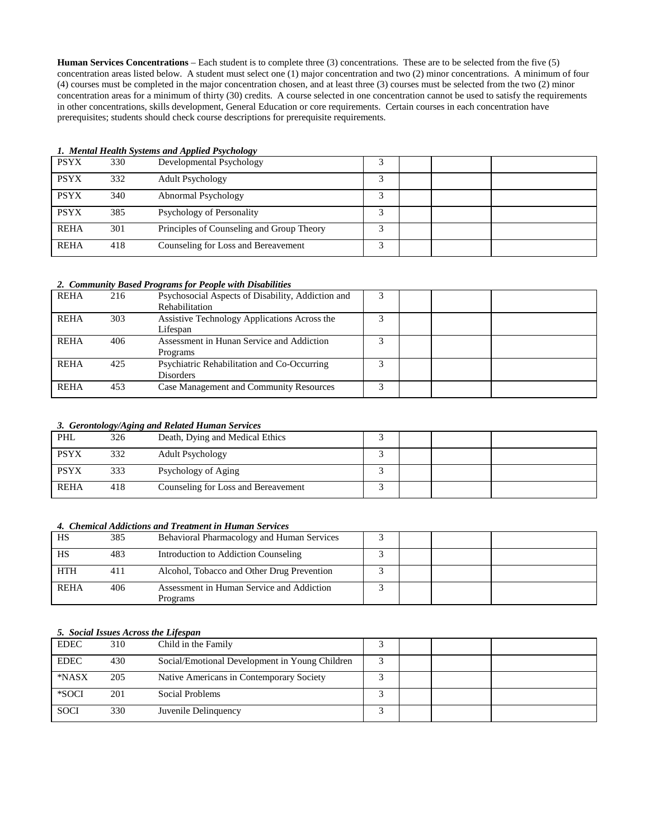**Human Services Concentrations** – Each student is to complete three (3) concentrations. These are to be selected from the five (5) concentration areas listed below. A student must select one (1) major concentration and two (2) minor concentrations. A minimum of four (4) courses must be completed in the major concentration chosen, and at least three (3) courses must be selected from the two (2) minor concentration areas for a minimum of thirty (30) credits. A course selected in one concentration cannot be used to satisfy the requirements in other concentrations, skills development, General Education or core requirements. Certain courses in each concentration have prerequisites; students should check course descriptions for prerequisite requirements.

|             |     | 1. Mental Health Systems and Applied I sychology |            |  |  |
|-------------|-----|--------------------------------------------------|------------|--|--|
| <b>PSYX</b> | 330 | Developmental Psychology                         |            |  |  |
| <b>PSYX</b> | 332 | <b>Adult Psychology</b>                          | $\sqrt{2}$ |  |  |
| <b>PSYX</b> | 340 | Abnormal Psychology                              | $\sqrt{2}$ |  |  |
| <b>PSYX</b> | 385 | Psychology of Personality                        | $\sqrt{2}$ |  |  |
| <b>REHA</b> | 301 | Principles of Counseling and Group Theory        | ⌒          |  |  |
| <b>REHA</b> | 418 | Counseling for Loss and Bereavement              |            |  |  |

# *1. Mental Health Systems and Applied Psychology*

### *2. Community Based Programs for People with Disabilities*

| <b>REHA</b> | 216 | Psychosocial Aspects of Disability, Addiction and<br>Rehabilitation |   |  |  |
|-------------|-----|---------------------------------------------------------------------|---|--|--|
| <b>REHA</b> | 303 | Assistive Technology Applications Across the<br>Lifespan            |   |  |  |
| <b>REHA</b> | 406 | Assessment in Hunan Service and Addiction<br>Programs               |   |  |  |
| <b>REHA</b> | 425 | Psychiatric Rehabilitation and Co-Occurring<br><b>Disorders</b>     |   |  |  |
| <b>REHA</b> | 453 | Case Management and Community Resources                             | ◠ |  |  |

### *3. Gerontology/Aging and Related Human Services*

| PHL         | ---<br>326 | Death, Dying and Medical Ethics     |  |  |
|-------------|------------|-------------------------------------|--|--|
| <b>PSYX</b> | 332        | <b>Adult Psychology</b>             |  |  |
| <b>PSYX</b> | 333        | Psychology of Aging                 |  |  |
| <b>REHA</b> | 418        | Counseling for Loss and Bereavement |  |  |

### *4. Chemical Addictions and Treatment in Human Services*

| HS          | 385 | Behavioral Pharmacology and Human Services |  |  |
|-------------|-----|--------------------------------------------|--|--|
| HS          | 483 | Introduction to Addiction Counseling       |  |  |
| <b>HTH</b>  | 411 | Alcohol, Tobacco and Other Drug Prevention |  |  |
| <b>REHA</b> | 406 | Assessment in Human Service and Addiction  |  |  |
|             |     | Programs                                   |  |  |

### *5. Social Issues Across the Lifespan*

| <b>EDEC</b> | 310 | Child in the Family                            |  |  |
|-------------|-----|------------------------------------------------|--|--|
| <b>EDEC</b> | 430 | Social/Emotional Development in Young Children |  |  |
| *NASX       | 205 | Native Americans in Contemporary Society       |  |  |
| *SOCI       | 201 | Social Problems                                |  |  |
| <b>SOCI</b> | 330 | Juvenile Delinquency                           |  |  |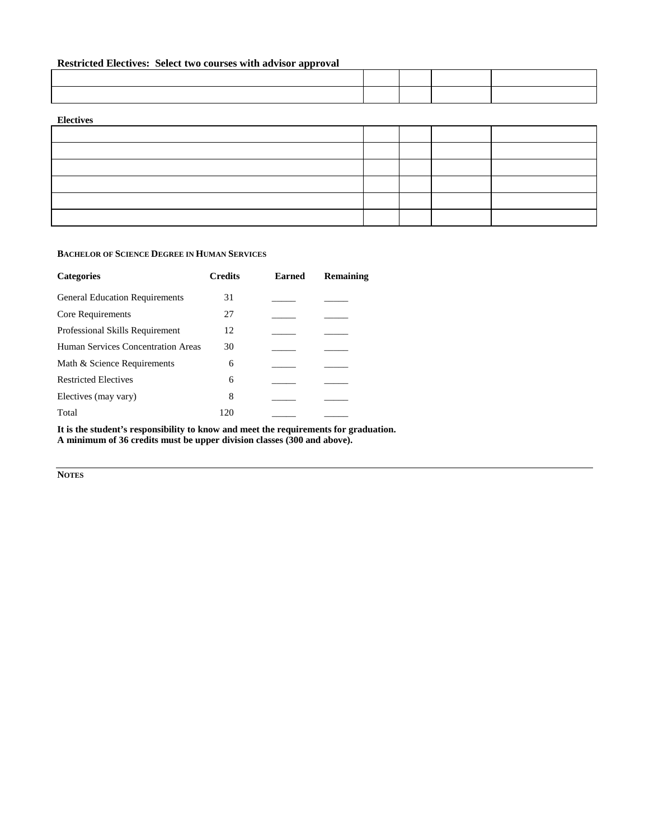# **Restricted Electives: Select two courses with advisor approval**

| THE MAIN WAS COMMON TO A RESIDENT THE MAIN WAS MADE AND MAIN WAS CITED. |  |  |  |  |  |  |
|-------------------------------------------------------------------------|--|--|--|--|--|--|
|                                                                         |  |  |  |  |  |  |
|                                                                         |  |  |  |  |  |  |

# **Electives**

### **BACHELOR OF SCIENCE DEGREE IN HUMAN SERVICES**

| <b>Categories</b>                     | <b>Credits</b> | <b>Earned</b> | <b>Remaining</b> |
|---------------------------------------|----------------|---------------|------------------|
| <b>General Education Requirements</b> | 31             |               |                  |
| Core Requirements                     | 27             |               |                  |
| Professional Skills Requirement       | 12             |               |                  |
| Human Services Concentration Areas    | 30             |               |                  |
| Math & Science Requirements           | 6              |               |                  |
| <b>Restricted Electives</b>           | 6              |               |                  |
| Electives (may vary)                  | 8              |               |                  |
| Total                                 | 120            |               |                  |

**It is the student's responsibility to know and meet the requirements for graduation. A minimum of 36 credits must be upper division classes (300 and above).**

**NOTES**